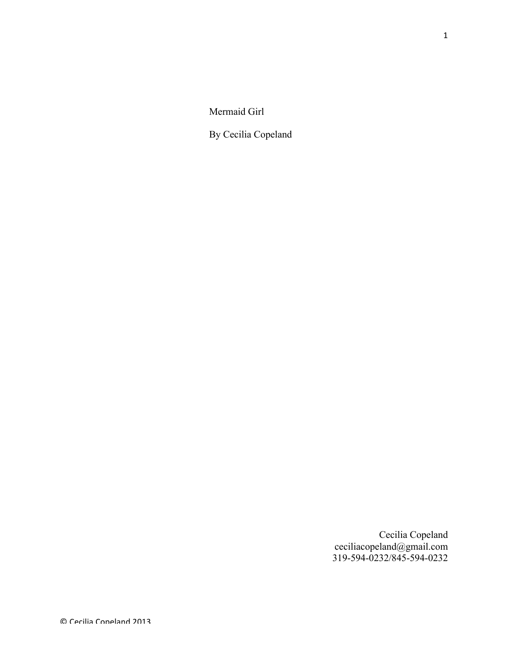Mermaid Girl

By Cecilia Copeland

Cecilia Copeland ceciliacopeland@gmail.com 319-594-0232/845-594-0232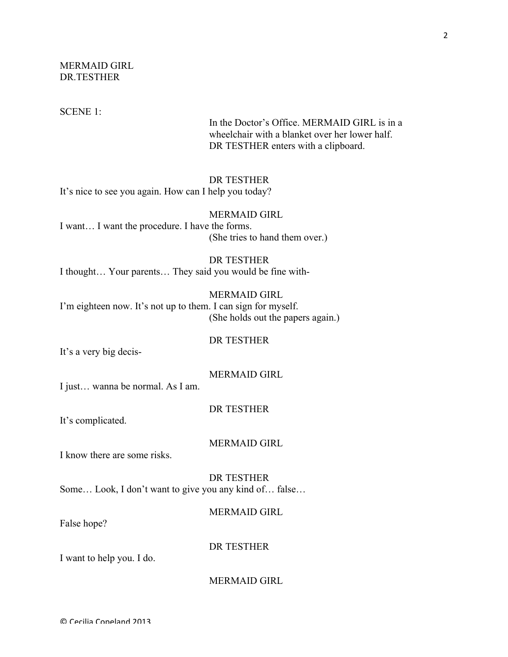MERMAID GIRL DR.TESTHER

SCENE 1:

In the Doctor's Office. MERMAID GIRL is in a wheelchair with a blanket over her lower half. DR TESTHER enters with a clipboard.

## DR TESTHER

It's nice to see you again. How can I help you today?

#### MERMAID GIRL

I want… I want the procedure. I have the forms. (She tries to hand them over.)

## DR TESTHER

I thought… Your parents… They said you would be fine with-

## MERMAID GIRL

I'm eighteen now. It's not up to them. I can sign for myself. (She holds out the papers again.)

#### DR TESTHER

It's a very big decis-

#### MERMAID GIRL

I just… wanna be normal. As I am.

#### DR TESTHER

It's complicated.

#### MERMAID GIRL

I know there are some risks.

DR TESTHER Some… Look, I don't want to give you any kind of… false…

## MERMAID GIRL

False hope?

DR TESTHER

I want to help you. I do.

#### MERMAID GIRL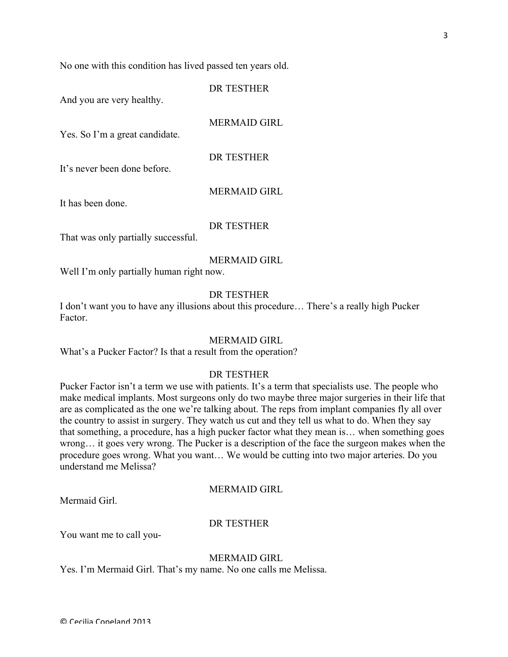No one with this condition has lived passed ten years old.

And you are very healthy.

MERMAID GIRL

DR TESTHER

Yes. So I'm a great candidate.

DR TESTHER

It's never been done before.

#### MERMAID GIRL

It has been done.

# DR TESTHER

That was only partially successful.

## MERMAID GIRL

Well I'm only partially human right now.

#### DR TESTHER

I don't want you to have any illusions about this procedure… There's a really high Pucker Factor.

#### MERMAID GIRL

What's a Pucker Factor? Is that a result from the operation?

# DR TESTHER

Pucker Factor isn't a term we use with patients. It's a term that specialists use. The people who make medical implants. Most surgeons only do two maybe three major surgeries in their life that are as complicated as the one we're talking about. The reps from implant companies fly all over the country to assist in surgery. They watch us cut and they tell us what to do. When they say that something, a procedure, has a high pucker factor what they mean is… when something goes wrong… it goes very wrong. The Pucker is a description of the face the surgeon makes when the procedure goes wrong. What you want… We would be cutting into two major arteries. Do you understand me Melissa?

#### MERMAID GIRL

Mermaid Girl.

#### DR TESTHER

You want me to call you-

#### MERMAID GIRL

Yes. I'm Mermaid Girl. That's my name. No one calls me Melissa.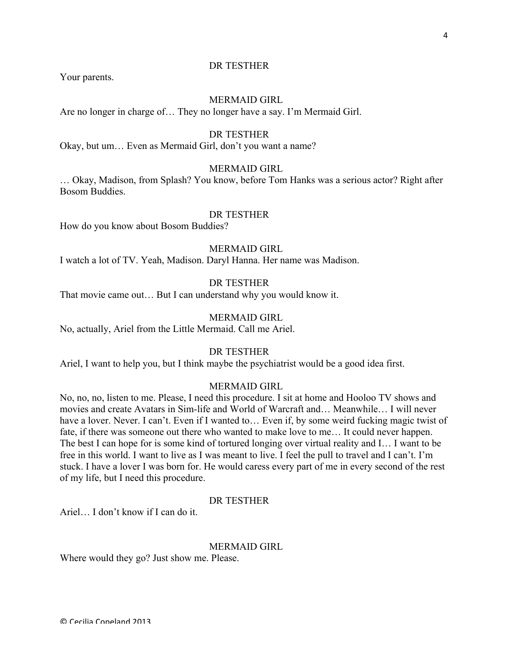#### DR TESTHER

Your parents.

#### MERMAID GIRL

Are no longer in charge of… They no longer have a say. I'm Mermaid Girl.

#### DR TESTHER

Okay, but um… Even as Mermaid Girl, don't you want a name?

### MERMAID GIRL

… Okay, Madison, from Splash? You know, before Tom Hanks was a serious actor? Right after Bosom Buddies.

# DR TESTHER

How do you know about Bosom Buddies?

## MERMAID GIRL

I watch a lot of TV. Yeah, Madison. Daryl Hanna. Her name was Madison.

## DR TESTHER

That movie came out… But I can understand why you would know it.

#### MERMAID GIRL

No, actually, Ariel from the Little Mermaid. Call me Ariel.

#### DR TESTHER

Ariel, I want to help you, but I think maybe the psychiatrist would be a good idea first.

#### MERMAID GIRL

No, no, no, listen to me. Please, I need this procedure. I sit at home and Hooloo TV shows and movies and create Avatars in Sim-life and World of Warcraft and… Meanwhile… I will never have a lover. Never. I can't. Even if I wanted to... Even if, by some weird fucking magic twist of fate, if there was someone out there who wanted to make love to me… It could never happen. The best I can hope for is some kind of tortured longing over virtual reality and I… I want to be free in this world. I want to live as I was meant to live. I feel the pull to travel and I can't. I'm stuck. I have a lover I was born for. He would caress every part of me in every second of the rest of my life, but I need this procedure.

#### DR TESTHER

Ariel… I don't know if I can do it.

#### MERMAID GIRL

Where would they go? Just show me. Please.